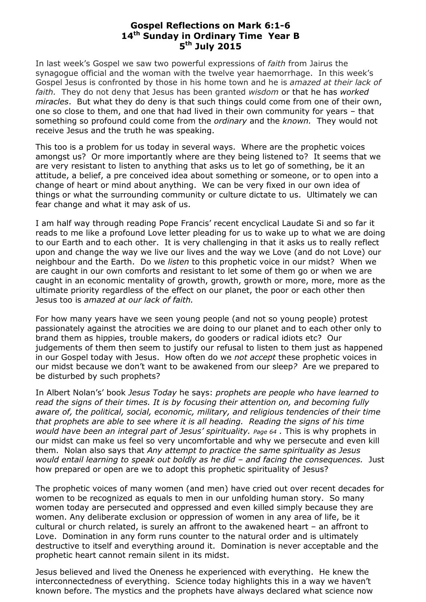## **Gospel Reflections on Mark 6:1-6 14 th Sunday in Ordinary Time Year B 5 th July 2015**

In last week's Gospel we saw two powerful expressions of *faith* from Jairus the synagogue official and the woman with the twelve year haemorrhage. In this week's Gospel Jesus is confronted by those in his home town and he is *amazed at their lack of faith.* They do not deny that Jesus has been granted *wisdom* or that he has *worked miracles*. But what they do deny is that such things could come from one of their own, one so close to them, and one that had lived in their own community for years – that something so profound could come from the *ordinary* and the *known.* They would not receive Jesus and the truth he was speaking.

This too is a problem for us today in several ways. Where are the prophetic voices amongst us? Or more importantly where are they being listened to? It seems that we are very resistant to listen to anything that asks us to let go of something, be it an attitude, a belief, a pre conceived idea about something or someone, or to open into a change of heart or mind about anything. We can be very fixed in our own idea of things or what the surrounding community or culture dictate to us. Ultimately we can fear change and what it may ask of us.

I am half way through reading Pope Francis' recent encyclical Laudate Si and so far it reads to me like a profound Love letter pleading for us to wake up to what we are doing to our Earth and to each other. It is very challenging in that it asks us to really reflect upon and change the way we live our lives and the way we Love (and do not Love) our neighbour and the Earth. Do we *listen* to this prophetic voice in our midst? When we are caught in our own comforts and resistant to let some of them go or when we are caught in an economic mentality of growth, growth, growth or more, more, more as the ultimate priority regardless of the effect on our planet, the poor or each other then Jesus too is *amazed at our lack of faith.*

For how many years have we seen young people (and not so young people) protest passionately against the atrocities we are doing to our planet and to each other only to brand them as hippies, trouble makers, do gooders or radical idiots etc? Our judgements of them then seem to justify our refusal to listen to them just as happened in our Gospel today with Jesus. How often do we *not accept* these prophetic voices in our midst because we don't want to be awakened from our sleep*?* Are we prepared to be disturbed by such prophets?

In Albert Nolan's' book *Jesus Today* he says: *prophets are people who have learned to read the signs of their times. It is by focusing their attention on, and becoming fully aware of, the political, social, economic, military, and religious tendencies of their time that prophets are able to see where it is all heading. Reading the signs of his time would have been an integral part of Jesus' spirituality. Page 64 .* This is why prophets in our midst can make us feel so very uncomfortable and why we persecute and even kill them. Nolan also says that *Any attempt to practice the same spirituality as Jesus would entail learning to speak out boldly as he did – and facing the consequences.* Just how prepared or open are we to adopt this prophetic spirituality of Jesus?

The prophetic voices of many women (and men) have cried out over recent decades for women to be recognized as equals to men in our unfolding human story. So many women today are persecuted and oppressed and even killed simply because they are women. Any deliberate exclusion or oppression of women in any area of life, be it cultural or church related, is surely an affront to the awakened heart – an affront to Love. Domination in any form runs counter to the natural order and is ultimately destructive to itself and everything around it. Domination is never acceptable and the prophetic heart cannot remain silent in its midst.

Jesus believed and lived the Oneness he experienced with everything. He knew the interconnectedness of everything. Science today highlights this in a way we haven't known before. The mystics and the prophets have always declared what science now